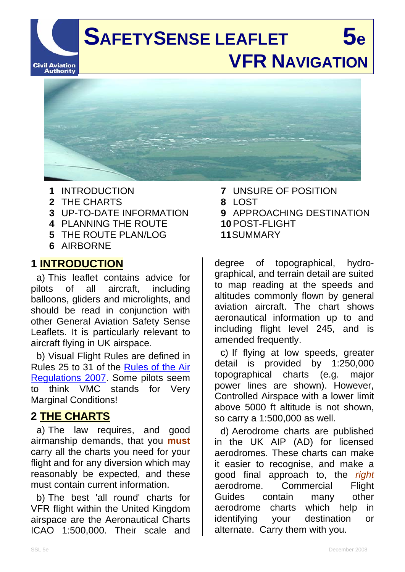**SAFETYSENSE LEAFLET** 5e  **VFR NAVIGATION Civil Aviation**<br>**Authority** 

- **1** INTRODUCTION
- **2** THE CHARTS
- **3** UP-TO-DATE INFORMATION
- **4** PLANNING THE ROUTE
- **5** THE ROUTE PLAN/LOG
- **6** AIRBORNE

### **1 INTRODUCTION**

 a) This leaflet contains advice for pilots of all aircraft, including balloons, gliders and microlights, and should be read in conjunction with other General Aviation Safety Sense Leaflets. It is particularly relevant to aircraft flying in UK airspace.

 b) Visual Flight Rules are defined in Rules 25 to 31 of the Rules of the Air Regulations 2007. Some pilots seem to think VMC stands for Very Marginal Conditions!

# **2 THE CHARTS**

a) The law requires, and good airmanship demands, that you **must** carry all the charts you need for your flight and for any diversion which may reasonably be expected, and these must contain current information.

b) The best 'all round' charts for VFR flight within the United Kingdom airspace are the Aeronautical Charts ICAO 1:500,000. Their scale and

- **7** UNSURE OF POSITION
- **8** LOST
- **9** APPROACHING DESTINATION **10** POST-FLIGHT

**11** SUMMARY

degree of topographical, hydrographical, and terrain detail are suited to map reading at the speeds and altitudes commonly flown by general aviation aircraft. The chart shows aeronautical information up to and including flight level 245, and is amended frequently.

c) If flying at low speeds, greater detail is provided by 1:250,000 topographical charts (e.g. major power lines are shown). However, Controlled Airspace with a lower limit above 5000 ft altitude is not shown, so carry a 1:500,000 as well.

d) Aerodrome charts are published in the UK AIP (AD) for licensed aerodromes. These charts can make it easier to recognise, and make a good final approach to, the *right* aerodrome. Commercial Flight Guides contain many other aerodrome charts which help in identifying your destination or alternate. Carry them with you.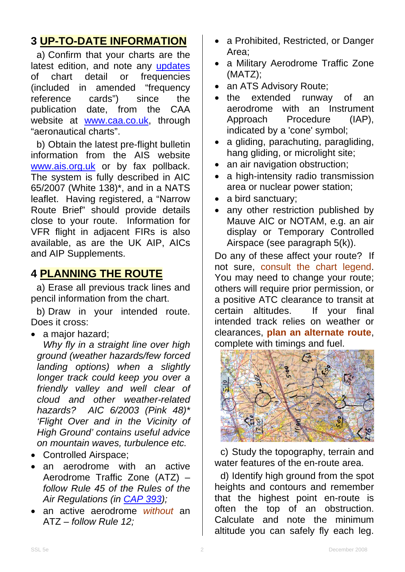## **3 UP-TO-DATE INFORMATION**

a) Confirm that your charts are the latest edition, and note any updates of chart detail or frequencies (included in amended "frequency reference cards") since the publication date, from the CAA website at www.caa.co.uk, through "aeronautical charts".

b) Obtain the latest pre-flight bulletin information from the AIS website www.ais.org.uk or by fax pollback. The system is fully described in AIC 65/2007 (White 138)\*, and in a NATS leaflet. Having registered, a "Narrow Route Brief" should provide details close to your route. Information for VFR flight in adjacent FIRs is also available, as are the UK AIP, AICs and AIP Supplements.

### **4 PLANNING THE ROUTE**

a) Erase all previous track lines and pencil information from the chart.

b) Draw in your intended route. Does it cross:

• a major hazard;

*Why fly in a straight line over high ground (weather hazards/few forced landing options) when a slightly longer track could keep you over a friendly valley and well clear of cloud and other weather-related hazards? AIC 6/2003 (Pink 48)\* 'Flight Over and in the Vicinity of High Ground' contains useful advice on mountain waves, turbulence etc.*

- Controlled Airspace;
- an aerodrome with an active Aerodrome Traffic Zone (ATZ) – *follow Rule 45 of the Rules of the Air Regulations (in CAP 393);*
- an active aerodrome *without* an ATZ – *follow Rule 12;*
- a Prohibited, Restricted, or Danger Area;
- a Military Aerodrome Traffic Zone (MATZ);
- an ATS Advisory Route;
- the extended runway of an aerodrome with an Instrument Approach Procedure (IAP), indicated by a 'cone' symbol;
- a gliding, parachuting, paragliding, hang gliding, or microlight site;
- an air navigation obstruction;
- a high-intensity radio transmission area or nuclear power station;
- a bird sanctuary;
- any other restriction published by Mauve AIC or NOTAM, e.g. an air display or Temporary Controlled Airspace (see paragraph 5(k)).

Do any of these affect your route? If not sure, consult the chart legend. You may need to change your route; others will require prior permission, or a positive ATC clearance to transit at certain altitudes. If your final intended track relies on weather or clearances, **plan an alternate route**, complete with timings and fuel.



c) Study the topography, terrain and water features of the en-route area.

d) Identify high ground from the spot heights and contours and remember that the highest point en-route is often the top of an obstruction. Calculate and note the minimum altitude you can safely fly each leg.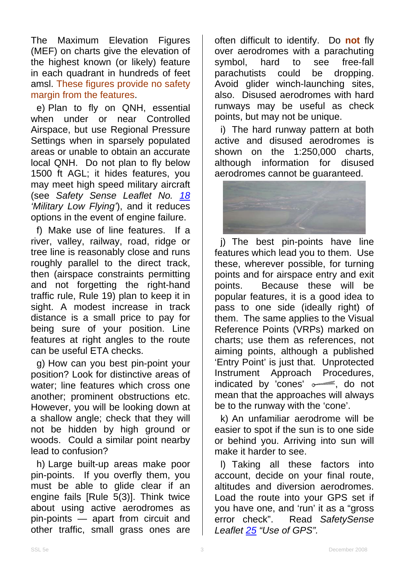The Maximum Elevation Figures (MEF) on charts give the elevation of the highest known (or likely) feature in each quadrant in hundreds of feet amsl. These figures provide no safety margin from the features.

e) Plan to fly on QNH, essential when under or near Controlled Airspace, but use Regional Pressure Settings when in sparsely populated areas or unable to obtain an accurate local QNH. Do not plan to fly below 1500 ft AGL; it hides features, you may meet high speed military aircraft (see *Safety Sense Leaflet No. 18 'Military Low Flying'*), and it reduces options in the event of engine failure.

f) Make use of line features. If a river, valley, railway, road, ridge or tree line is reasonably close and runs roughly parallel to the direct track, then (airspace constraints permitting and not forgetting the right-hand traffic rule, Rule 19) plan to keep it in sight. A modest increase in track distance is a small price to pay for being sure of your position. Line features at right angles to the route can be useful ETA checks.

g) How can you best pin-point your position? Look for distinctive areas of water; line features which cross one another; prominent obstructions etc. However, you will be looking down at a shallow angle; check that they will not be hidden by high ground or woods. Could a similar point nearby lead to confusion?

h) Large built-up areas make poor pin-points. If you overfly them, you must be able to glide clear if an engine fails [Rule  $\overline{5}(3)$ ]. Think twice about using active aerodromes as pin-points — apart from circuit and other traffic, small grass ones are

often difficult to identify. Do **not** fly over aerodromes with a parachuting symbol, hard to see free-fall parachutists could be dropping. Avoid glider winch-launching sites, also. Disused aerodromes with hard runways may be useful as check points, but may not be unique.

i) The hard runway pattern at both active and disused aerodromes is shown on the 1:250,000 charts, although information for disused aerodromes cannot be guaranteed.



j) The best pin-points have line features which lead you to them. Use these, wherever possible, for turning points and for airspace entry and exit points. Because these will be popular features, it is a good idea to pass to one side (ideally right) of them. The same applies to the Visual Reference Points (VRPs) marked on charts; use them as references, not aiming points, although a published 'Entry Point' is just that. Unprotected Instrument Approach Procedures, indicated by 'cones'  $\sim$  do not mean that the approaches will always be to the runway with the 'cone'.

k) An unfamiliar aerodrome will be easier to spot if the sun is to one side or behind you. Arriving into sun will make it harder to see.

l) Taking all these factors into account, decide on your final route, altitudes and diversion aerodromes. Load the route into your GPS set if you have one, and 'run' it as a "gross error check". Read *SafetySense Leaflet 25 "Use of GPS".*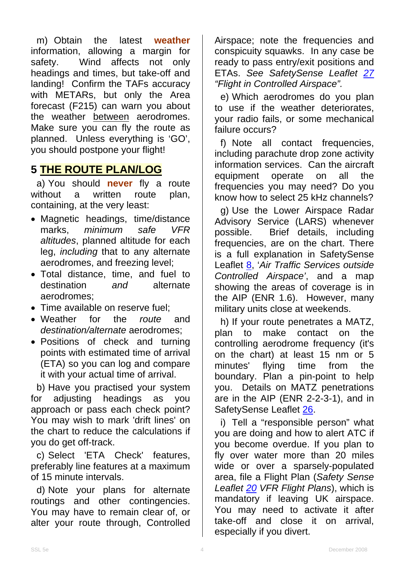m) Obtain the latest **weather** information, allowing a margin for safety. Wind affects not only headings and times, but take-off and landing! Confirm the TAFs accuracy with METARs, but only the Area forecast (F215) can warn you about the weather between aerodromes. Make sure you can fly the route as planned. Unless everything is 'GO', you should postpone your flight!

#### **5 THE ROUTE PLAN/LOG**

a) You should **never** fly a route without a written route plan, containing, at the very least:

- Magnetic headings, time/distance marks, *minimum safe VFR altitudes*, planned altitude for each leg, *including* that to any alternate aerodromes, and freezing level;
- Total distance, time, and fuel to destination *and* alternate aerodromes;
- Time available on reserve fuel;
- Weather for the *route* and *destination/alternate* aerodromes;
- Positions of check and turning points with estimated time of arrival (ETA) so you can log and compare it with your actual time of arrival.

b) Have you practised your system for adjusting headings as you approach or pass each check point? You may wish to mark 'drift lines' on the chart to reduce the calculations if you do get off-track.

c) Select 'ETA Check' features, preferably line features at a maximum of 15 minute intervals.

d) Note your plans for alternate routings and other contingencies. You may have to remain clear of, or alter your route through, Controlled

Airspace; note the frequencies and conspicuity squawks. In any case be ready to pass entry/exit positions and ETAs. *See SafetySense Leaflet 27 "Flight in Controlled Airspace".*

e) Which aerodromes do you plan to use if the weather deteriorates, your radio fails, or some mechanical failure occurs?

f) Note all contact frequencies, including parachute drop zone activity information services. Can the aircraft equipment operate on all the frequencies you may need? Do you know how to select 25 kHz channels?

g) Use the Lower Airspace Radar Advisory Service (LARS) whenever possible. Brief details, including frequencies, are on the chart. There is a full explanation in SafetySense Leaflet 8, '*Air Traffic Services outside Controlled Airspace'*, and a map showing the areas of coverage is in the AIP (ENR 1.6). However, many military units close at weekends.

h) If your route penetrates a MATZ, plan to make contact on the controlling aerodrome frequency (it's on the chart) at least 15 nm or 5 minutes' flying time from the boundary. Plan a pin-point to help you. Details on MATZ penetrations are in the AIP (ENR 2-2-3-1), and in SafetySense Leaflet 26.

i) Tell a "responsible person" what you are doing and how to alert ATC if you become overdue. If you plan to fly over water more than 20 miles wide or over a sparsely-populated area, file a Flight Plan (*Safety Sense Leaflet 20 VFR Flight Plans*), which is mandatory if leaving UK airspace. You may need to activate it after take-off and close it on arrival, especially if you divert.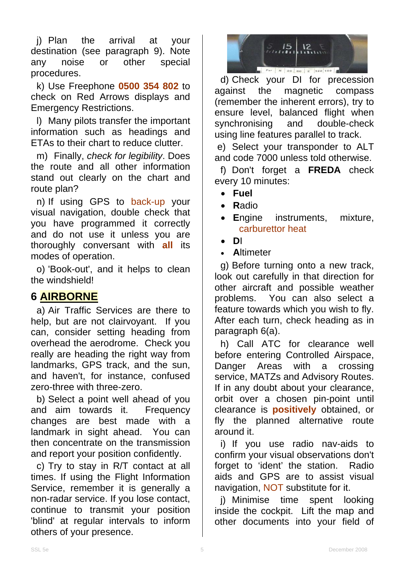j) Plan the arrival at your destination (see paragraph 9). Note any noise or other special procedures.

k) Use Freephone **0500 354 802** to check on Red Arrows displays and Emergency Restrictions.

l) Many pilots transfer the important information such as headings and ETAs to their chart to reduce clutter.

m) Finally, *check for legibility*. Does the route and all other information stand out clearly on the chart and route plan?

n) If using GPS to back-up your visual navigation, double check that you have programmed it correctly and do not use it unless you are thoroughly conversant with **all** its modes of operation.

o) 'Book-out', and it helps to clean the windshield!

### **6 AIRBORNE**

a) Air Traffic Services are there to help, but are not clairvoyant. If you can, consider setting heading from overhead the aerodrome. Check you really are heading the right way from landmarks, GPS track, and the sun, and haven't, for instance, confused zero-three with three-zero.

b) Select a point well ahead of you and aim towards it. Frequency changes are best made with a landmark in sight ahead. You can then concentrate on the transmission and report your position confidently.

c) Try to stay in R/T contact at all times. If using the Flight Information Service, remember it is generally a non-radar service. If you lose contact, continue to transmit your position 'blind' at regular intervals to inform others of your presence.



d) Check your DI for precession against the magnetic compass (remember the inherent errors), try to ensure level, balanced flight when synchronising and double-check using line features parallel to track.

 e) Select your transponder to ALT and code 7000 unless told otherwise.

f) Don't forget a **FREDA** check every 10 minutes:

- **Fuel**
- **R**adio
- **E**ngine instruments, mixture, carburettor heat
- **D**I
- **A**ltimeter

g) Before turning onto a new track, look out carefully in that direction for other aircraft and possible weather problems. You can also select a feature towards which you wish to fly. After each turn, check heading as in paragraph 6(a).

h) Call ATC for clearance well before entering Controlled Airspace, Danger Areas with a crossing service, MATZs and Advisory Routes. If in any doubt about your clearance, orbit over a chosen pin-point until clearance is **positively** obtained, or fly the planned alternative route around it.

i) If you use radio nav-aids to confirm your visual observations don't forget to 'ident' the station. Radio aids and GPS are to assist visual navigation, NOT substitute for it.

j) Minimise time spent looking inside the cockpit. Lift the map and other documents into your field of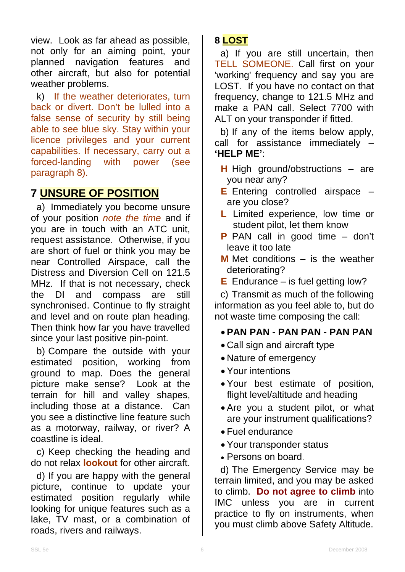view. Look as far ahead as possible, not only for an aiming point, your planned navigation features and other aircraft, but also for potential weather problems.

k) If the weather deteriorates, turn back or divert. Don't be lulled into a false sense of security by still being able to see blue sky. Stay within your licence privileges and your current capabilities. If necessary, carry out a forced-landing with power (see paragraph 8).

## **7 UNSURE OF POSITION**

a) Immediately you become unsure of your position *note the time* and if you are in touch with an ATC unit, request assistance. Otherwise, if you are short of fuel or think you may be near Controlled Airspace, call the Distress and Diversion Cell on 121.5 MHz. If that is not necessary, check the DI and compass are still synchronised. Continue to fly straight and level and on route plan heading. Then think how far you have travelled since your last positive pin-point.

b) Compare the outside with your estimated position, working from ground to map. Does the general picture make sense? Look at the terrain for hill and valley shapes, including those at a distance. Can you see a distinctive line feature such as a motorway, railway, or river? A coastline is ideal.

c) Keep checking the heading and do not relax **lookout** for other aircraft.

d) If you are happy with the general picture, continue to update your estimated position regularly while looking for unique features such as a lake, TV mast, or a combination of roads, rivers and railways.

#### **8 LOST**

a) If you are still uncertain, then TELL SOMEONE. Call first on your 'working' frequency and say you are LOST. If you have no contact on that frequency, change to 121.5 MHz and make a PAN call. Select 7700 with ALT on your transponder if fitted.

b) If any of the items below apply, call for assistance immediately – **'HELP ME'**:

- **H** High ground/obstructions are you near any?
- **E** Entering controlled airspace are you close?
- **L** Limited experience, low time or student pilot, let them know
- **P** PAN call in good time don't leave it too late
- **M** Met conditions is the weather deteriorating?
- **E** Endurance is fuel getting low?

c) Transmit as much of the following information as you feel able to, but do not waste time composing the call:

• **PAN PAN - PAN PAN - PAN PAN** 

- Call sign and aircraft type
- Nature of emergency
- Your intentions
- Your best estimate of position, flight level/altitude and heading
- Are you a student pilot, or what are your instrument qualifications?
- Fuel endurance
- Your transponder status
- Persons on board.

d) The Emergency Service may be terrain limited, and you may be asked to climb. **Do not agree to climb** into IMC unless you are in current practice to fly on instruments, when you must climb above Safety Altitude.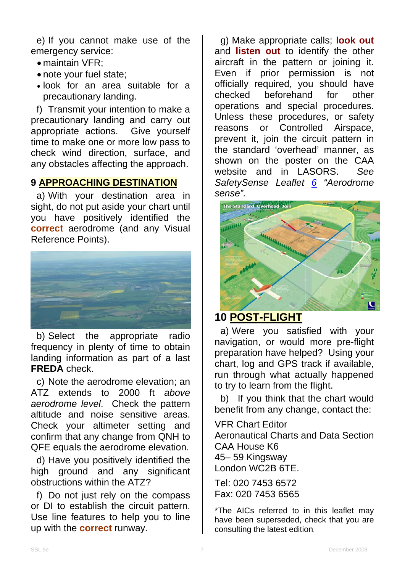e) If you cannot make use of the emergency service:

- maintain VFR;
- note your fuel state;
- look for an area suitable for a precautionary landing.

f) Transmit your intention to make a precautionary landing and carry out appropriate actions. Give yourself time to make one or more low pass to check wind direction, surface, and any obstacles affecting the approach.

#### **9 APPROACHING DESTINATION**

a) With your destination area in sight, do not put aside your chart until you have positively identified the **correct** aerodrome (and any Visual Reference Points).



b) Select the appropriate radio frequency in plenty of time to obtain landing information as part of a last **FREDA** check.

c) Note the aerodrome elevation; an ATZ extends to 2000 ft *above aerodrome level*. Check the pattern altitude and noise sensitive areas. Check your altimeter setting and confirm that any change from QNH to QFE equals the aerodrome elevation.

d) Have you positively identified the high ground and any significant obstructions within the ATZ?

f) Do not just rely on the compass or DI to establish the circuit pattern. Use line features to help you to line up with the **correct** runway.

g) Make appropriate calls; **look out** and **listen out** to identify the other aircraft in the pattern or joining it. Even if prior permission is not officially required, you should have checked beforehand for other operations and special procedures. Unless these procedures, or safety reasons or Controlled Airspace, prevent it, join the circuit pattern in the standard 'overhead' manner, as shown on the poster on the CAA website and in LASORS. *See SafetySense Leaflet 6 "Aerodrome sense".* 



#### **10 POST-FLIGHT**

a) Were you satisfied with your navigation, or would more pre-flight preparation have helped? Using your chart, log and GPS track if available, run through what actually happened to try to learn from the flight.

b) If you think that the chart would benefit from any change, contact the:

VFR Chart Editor

Aeronautical Charts and Data Section CAA House K6 45– 59 Kingsway London WC2B 6TE.

Tel: 020 7453 6572 Fax: 020 7453 6565

\*The AICs referred to in this leaflet may have been superseded, check that you are consulting the latest edition.